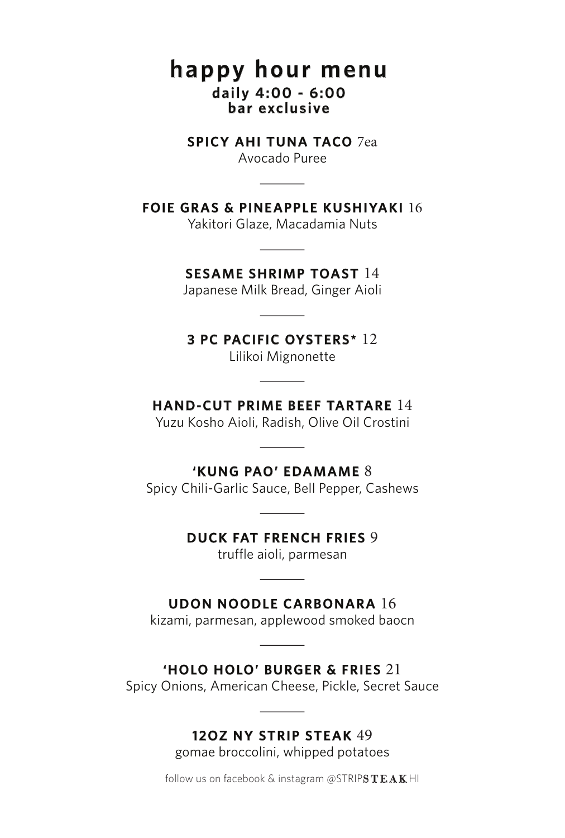# **happy hour menu daily 4:00 - 6:00 bar exclusive**

#### **SPICY AHI TUNA TACO** 7ea

Avocado Puree -

### **FOIE GRAS & PINEAPPLE KUSHIYAKI** 16

Yakitori Glaze, Macadamia Nuts -

# **SESAME SHRIMP TOAST** 14

Japanese Milk Bread, Ginger Aioli HRIMP<br>Ik Bread,<br>TIC OV

#### **3 PC PACIFIC OYSTERS\*** 12

Lilikoi Mignonette -

# **HAND-CUT PRIME BEEF TARTARE** 14

Yuzu Kosho Aioli, Radish, Olive Oil Crostini **IME BE**<br>, Radish,<br>**CLED** 

# **'KUNG PAO' EDAMAME** 8

Spicy Chili-Garlic Sauce, Bell Pepper, Cashews **AO' ED/**<br>Sauce, Be<br>**COLL** 

#### **DUCK FAT FRENCH FRIES** 9

truffle aioli, parmesan **FRENC**<br>aioli, par<br>**NE SA** 

#### **UDON NOODLE CARBONARA** 16

kizami, parmesan, applewood smoked baocn DLE CAI<br>| applewd<br>| DUDO!

## **'HOLO HOLO' BURGER & FRIES** 21

Spicy Onions, American Cheese, Pickle, Secret Sauce BURGER<br>an Cheese,<br>TRIB 67

# **12OZ NY STRIP STEAK** 49

gomae broccolini, whipped potatoes

follow us on facebook & instagram @STRIPSTEAK HI